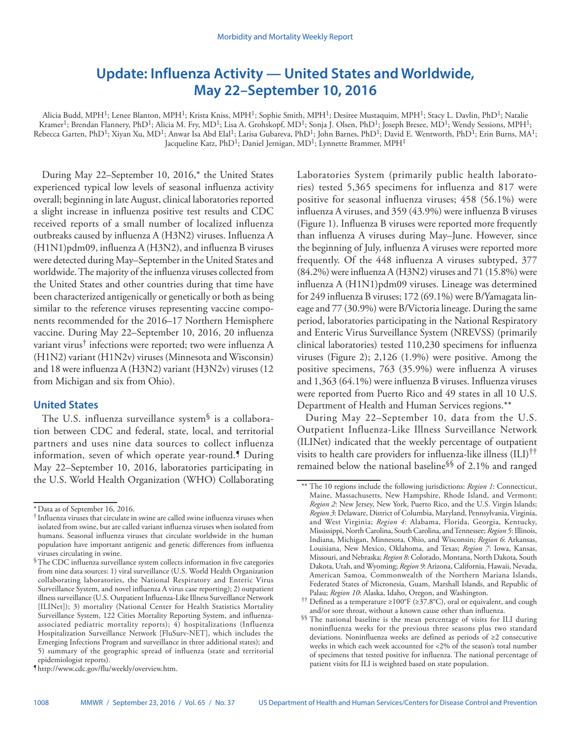# **Update: Influenza Activity — United States and Worldwide, May 22–September 10, 2016**

Alicia Budd, MPH<sup>1</sup>; Lenee Blanton, MPH<sup>1</sup>; Krista Kniss, MPH<sup>1</sup>; Sophie Smith, MPH<sup>1</sup>; Desiree Mustaquim, MPH<sup>1</sup>; Stacy L. Davlin, PhD<sup>1</sup>; Natalie Kramer<sup>1</sup>; Brendan Flannery, PhD<sup>1</sup>; Alicia M. Fry, MD<sup>1</sup>; Lisa A. Grohskopf, MD<sup>1</sup>; Sonja J. Olsen, PhD<sup>1</sup>; Joseph Bresee, MD<sup>1</sup>; Wendy Sessions, MPH<sup>1</sup>; Rebecca Garten, PhD<sup>1</sup>; Xiyan Xu, MD<sup>1</sup>; Anwar Isa Abd Elal<sup>1</sup>; Larisa Gubareva, PhD<sup>1</sup>; John Barnes, PhD<sup>1</sup>; David E. Wentworth, PhD<sup>1</sup>; Erin Burns, MA<sup>1</sup>; Jacqueline Katz, PhD<sup>1</sup>; Daniel Jernigan, MD<sup>1</sup>; Lynnette Brammer, MPH<sup>1</sup>

During May 22–September 10, 2016,\* the United States experienced typical low levels of seasonal influenza activity overall; beginning in late August, clinical laboratories reported a slight increase in influenza positive test results and CDC received reports of a small number of localized influenza outbreaks caused by influenza A (H3N2) viruses. Influenza A (H1N1)pdm09, influenza A (H3N2), and influenza B viruses were detected during May–September in the United States and worldwide. The majority of the influenza viruses collected from the United States and other countries during that time have been characterized antigenically or genetically or both as being similar to the reference viruses representing vaccine components recommended for the 2016–17 Northern Hemisphere vaccine. During May 22–September 10, 2016, 20 influenza variant virus† infections were reported; two were influenza A (H1N2) variant (H1N2v) viruses (Minnesota and Wisconsin) and 18 were influenza A (H3N2) variant (H3N2v) viruses (12 from Michigan and six from Ohio).

## **United States**

The U.S. influenza surveillance system $\delta$  is a collaboration between CDC and federal, state, local, and territorial partners and uses nine data sources to collect influenza information, seven of which operate year-round.¶ During May 22–September 10, 2016, laboratories participating in the U.S. World Health Organization (WHO) Collaborating

During May 22–September 10, data from the U.S. Outpatient Influenza-Like Illness Surveillance Network (ILINet) indicated that the weekly percentage of outpatient visits to health care providers for influenza-like illness (ILI)†† remained below the national baseline§§ of 2.1% and ranged

<sup>\*</sup>Data as of September 16, 2016.

<sup>†</sup> Influenza viruses that circulate in swine are called swine influenza viruses when isolated from swine, but are called variant influenza viruses when isolated from humans. Seasonal influenza viruses that circulate worldwide in the human population have important antigenic and genetic differences from influenza viruses circulating in swine.

<sup>§</sup>The CDC influenza surveillance system collects information in five categories from nine data sources: 1) viral surveillance (U.S. World Health Organization collaborating laboratories, the National Respiratory and Enteric Virus Surveillance System, and novel influenza A virus case reporting); 2) outpatient illness surveillance (U.S. Outpatient Influenza-Like Illness Surveillance Network [ILINet]); 3) mortality (National Center for Health Statistics Mortality Surveillance System, 122 Cities Mortality Reporting System, and influenzaassociated pediatric mortality reports); 4) hospitalizations (Influenza Hospitalization Surveillance Network [FluSurv-NET], which includes the Emerging Infections Program and surveillance in three additional states); and 5) summary of the geographic spread of influenza (state and territorial epidemiologist reports).

Laboratories System (primarily public health laboratories) tested 5,365 specimens for influenza and 817 were positive for seasonal influenza viruses; 458 (56.1%) were influenza A viruses, and 359 (43.9%) were influenza B viruses (Figure 1). Influenza B viruses were reported more frequently than influenza A viruses during May–June. However, since the beginning of July, influenza A viruses were reported more frequently. Of the 448 influenza A viruses subtyped, 377 (84.2%) were influenza A (H3N2) viruses and 71 (15.8%) were influenza A (H1N1)pdm09 viruses. Lineage was determined for 249 influenza B viruses; 172 (69.1%) were B/Yamagata lineage and 77 (30.9%) were B/Victoria lineage. During the same period, laboratories participating in the National Respiratory and Enteric Virus Surveillance System (NREVSS) (primarily clinical laboratories) tested 110,230 specimens for influenza viruses (Figure 2); 2,126 (1.9%) were positive. Among the positive specimens, 763 (35.9%) were influenza A viruses and 1,363 (64.1%) were influenza B viruses. Influenza viruses were reported from Puerto Rico and 49 states in all 10 U.S. Department of Health and Human Services regions.\*\*

<sup>\*\*</sup> The 10 regions include the following jurisdictions: *Region 1*: Connecticut, Maine, Massachusetts, New Hampshire, Rhode Island, and Vermont; *Region 2*: New Jersey, New York, Puerto Rico, and the U.S. Virgin Islands; *Region 3*: Delaware, District of Columbia, Maryland, Pennsylvania, Virginia, and West Virginia; *Region 4*: Alabama, Florida, Georgia, Kentucky, Mississippi, North Carolina, South Carolina, and Tennessee; *Region 5*: Illinois, Indiana, Michigan, Minnesota, Ohio, and Wisconsin; *Region 6*: Arkansas, Louisiana, New Mexico, Oklahoma, and Texas; *Region 7*: Iowa, Kansas, Missouri, and Nebraska; *Region 8*: Colorado, Montana, North Dakota, South Dakota, Utah, and Wyoming; *Region 9*: Arizona, California, Hawaii, Nevada, American Samoa, Commonwealth of the Northern Mariana Islands, Federated States of Micronesia, Guam, Marshall Islands, and Republic of Palau; *Region 10*: Alaska, Idaho, Oregon, and Washington.

<sup>††</sup> Defined as a temperature ≥100°F (≥37.8°C), oral or equivalent, and cough and/or sore throat, without a known cause other than influenza.

<sup>§§</sup> The national baseline is the mean percentage of visits for ILI during noninfluenza weeks for the previous three seasons plus two standard deviations. Noninfluenza weeks are defined as periods of ≥2 consecutive weeks in which each week accounted for <2% of the season's total number of specimens that tested positive for influenza. The national percentage of patient visits for ILI is weighted based on state population.

<sup>¶</sup> [http://www.cdc.gov/flu/weekly/overview.htm.](http://www.cdc.gov/flu/weekly/overview.htm)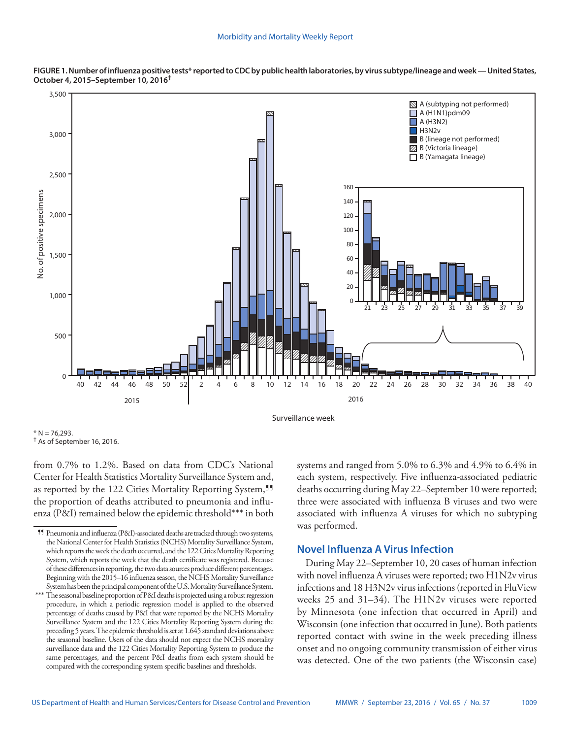



from 0.7% to 1.2%. Based on data from CDC's National Center for Health Statistics Mortality Surveillance System and, as reported by the 122 Cities Mortality Reporting System,<sup>95</sup> the proportion of deaths attributed to pneumonia and influenza (P&I) remained below the epidemic threshold\*\*\* in both systems and ranged from 5.0% to 6.3% and 4.9% to 6.4% in each system, respectively. Five influenza-associated pediatric deaths occurring during May 22–September 10 were reported; three were associated with influenza B viruses and two were associated with influenza A viruses for which no subtyping was performed.

## **Novel Influenza A Virus Infection**

During May 22–September 10, 20 cases of human infection with novel influenza A viruses were reported; two H1N2v virus infections and 18 H3N2v virus infections (reported in FluView weeks 25 and 31–34). The H1N2v viruses were reported by Minnesota (one infection that occurred in April) and Wisconsin (one infection that occurred in June). Both patients reported contact with swine in the week preceding illness onset and no ongoing community transmission of either virus was detected. One of the two patients (the Wisconsin case)

 $* N = 76.293$ . † As of September 16, 2016.

<sup>¶¶</sup> Pneumonia and influenza (P&I)-associated deaths are tracked through two systems, the National Center for Health Statistics (NCHS) Mortality Surveillance System, which reports the week the death occurred, and the 122 Cities Mortality Reporting System, which reports the week that the death certificate was registered. Because of these differences in reporting, the two data sources produce different percentages. Beginning with the 2015–16 influenza season, the NCHS Mortality Surveillance System has been the principal component of the U.S. Mortality Surveillance System.

<sup>\*\*\*</sup> The seasonal baseline proportion of P&I deaths is projected using a robust regression procedure, in which a periodic regression model is applied to the observed percentage of deaths caused by P&I that were reported by the NCHS Mortality Surveillance System and the 122 Cities Mortality Reporting System during the preceding 5 years. The epidemic threshold is set at 1.645 standard deviations above the seasonal baseline. Users of the data should not expect the NCHS mortality surveillance data and the 122 Cities Mortality Reporting System to produce the same percentages, and the percent P&I deaths from each system should be compared with the corresponding system specific baselines and thresholds.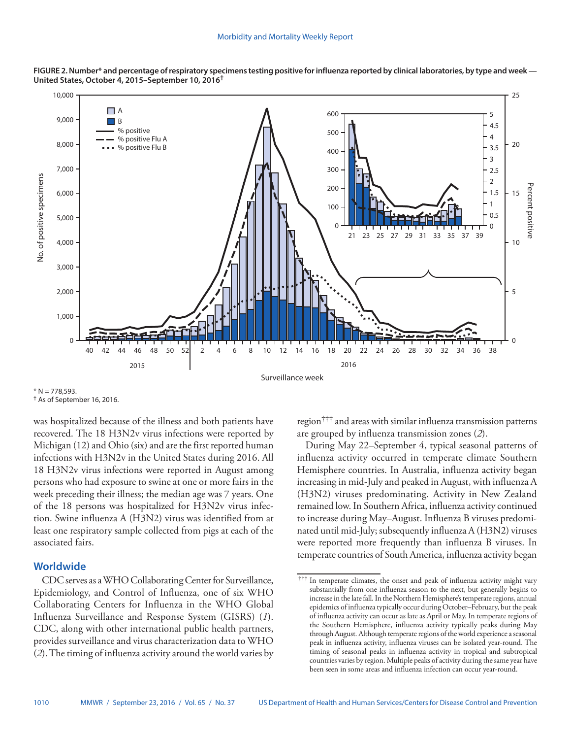

**FIGURE 2. Number\* and percentage of respiratory specimens testing positive for influenza reported by clinical laboratories, by type and week — United States, October 4, 2015–September 10, 2016†**

 $* N = 778,593.$ † As of September 16, 2016.

was hospitalized because of the illness and both patients have recovered. The 18 H3N2v virus infections were reported by Michigan (12) and Ohio (six) and are the first reported human infections with H3N2v in the United States during 2016. All 18 H3N2v virus infections were reported in August among persons who had exposure to swine at one or more fairs in the week preceding their illness; the median age was 7 years. One of the 18 persons was hospitalized for H3N2v virus infection. Swine influenza A (H3N2) virus was identified from at least one respiratory sample collected from pigs at each of the associated fairs.

## **Worldwide**

CDC serves as a WHO Collaborating Center for Surveillance, Epidemiology, and Control of Influenza, one of six WHO Collaborating Centers for Influenza in the WHO Global Influenza Surveillance and Response System (GISRS) (*1*). CDC, along with other international public health partners, provides surveillance and virus characterization data to WHO (*2*). The timing of influenza activity around the world varies by region††† and areas with similar influenza transmission patterns are grouped by influenza transmission zones (*2*).

During May 22–September 4, typical seasonal patterns of influenza activity occurred in temperate climate Southern Hemisphere countries. In Australia, influenza activity began increasing in mid-July and peaked in August, with influenza A (H3N2) viruses predominating. Activity in New Zealand remained low. In Southern Africa, influenza activity continued to increase during May–August. Influenza B viruses predominated until mid-July; subsequently influenza A (H3N2) viruses were reported more frequently than influenza B viruses. In temperate countries of South America, influenza activity began

<sup>†††</sup> In temperate climates, the onset and peak of influenza activity might vary substantially from one influenza season to the next, but generally begins to increase in the late fall. In the Northern Hemisphere's temperate regions, annual epidemics of influenza typically occur during October–February, but the peak of influenza activity can occur as late as April or May. In temperate regions of the Southern Hemisphere, influenza activity typically peaks during May through August. Although temperate regions of the world experience a seasonal peak in influenza activity, influenza viruses can be isolated year-round. The timing of seasonal peaks in influenza activity in tropical and subtropical countries varies by region. Multiple peaks of activity during the same year have been seen in some areas and influenza infection can occur year-round.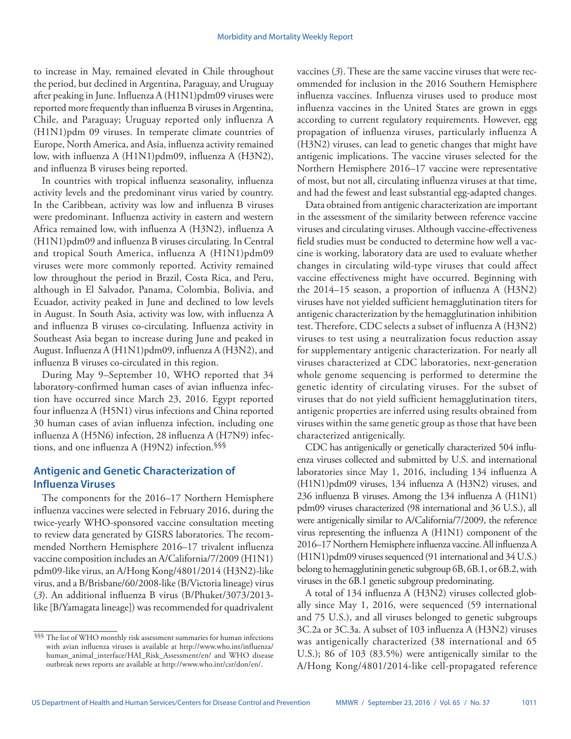to increase in May, remained elevated in Chile throughout the period, but declined in Argentina, Paraguay, and Uruguay after peaking in June. Influenza A (H1N1)pdm09 viruses were reported more frequently than influenza B viruses in Argentina, Chile, and Paraguay; Uruguay reported only influenza A (H1N1)pdm 09 viruses. In temperate climate countries of Europe, North America, and Asia, influenza activity remained low, with influenza A (H1N1)pdm09, influenza A (H3N2), and influenza B viruses being reported.

In countries with tropical influenza seasonality, influenza activity levels and the predominant virus varied by country. In the Caribbean, activity was low and influenza B viruses were predominant. Influenza activity in eastern and western Africa remained low, with influenza A (H3N2), influenza A (H1N1)pdm09 and influenza B viruses circulating. In Central and tropical South America, influenza A (H1N1)pdm09 viruses were more commonly reported. Activity remained low throughout the period in Brazil, Costa Rica, and Peru, although in El Salvador, Panama, Colombia, Bolivia, and Ecuador, activity peaked in June and declined to low levels in August. In South Asia, activity was low, with influenza A and influenza B viruses co-circulating. Influenza activity in Southeast Asia began to increase during June and peaked in August. Influenza A (H1N1)pdm09, influenza A (H3N2), and influenza B viruses co-circulated in this region.

During May 9–September 10, WHO reported that 34 laboratory-confirmed human cases of avian influenza infection have occurred since March 23, 2016. Egypt reported four influenza A (H5N1) virus infections and China reported 30 human cases of avian influenza infection, including one influenza A (H5N6) infection, 28 influenza A (H7N9) infections, and one influenza A (H9N2) infection.§§§

# **Antigenic and Genetic Characterization of Influenza Viruses**

The components for the 2016–17 Northern Hemisphere influenza vaccines were selected in February 2016, during the twice-yearly WHO-sponsored vaccine consultation meeting to review data generated by GISRS laboratories. The recommended Northern Hemisphere 2016–17 trivalent influenza vaccine composition includes an A/California/7/2009 (H1N1) pdm09-like virus, an A/Hong Kong/4801/2014 (H3N2)-like virus, and a B/Brisbane/60/2008-like (B/Victoria lineage) virus (*3*). An additional influenza B virus (B/Phuket/3073/2013 like [B/Yamagata lineage]) was recommended for quadrivalent

vaccines (*3*). These are the same vaccine viruses that were recommended for inclusion in the 2016 Southern Hemisphere influenza vaccines. Influenza viruses used to produce most influenza vaccines in the United States are grown in eggs according to current regulatory requirements. However, egg propagation of influenza viruses, particularly influenza A (H3N2) viruses, can lead to genetic changes that might have antigenic implications. The vaccine viruses selected for the Northern Hemisphere 2016–17 vaccine were representative of most, but not all, circulating influenza viruses at that time, and had the fewest and least substantial egg-adapted changes.

Data obtained from antigenic characterization are important in the assessment of the similarity between reference vaccine viruses and circulating viruses. Although vaccine-effectiveness field studies must be conducted to determine how well a vaccine is working, laboratory data are used to evaluate whether changes in circulating wild-type viruses that could affect vaccine effectiveness might have occurred. Beginning with the 2014–15 season, a proportion of influenza A (H3N2) viruses have not yielded sufficient hemagglutination titers for antigenic characterization by the hemagglutination inhibition test. Therefore, CDC selects a subset of influenza A (H3N2) viruses to test using a neutralization focus reduction assay for supplementary antigenic characterization. For nearly all viruses characterized at CDC laboratories, next-generation whole genome sequencing is performed to determine the genetic identity of circulating viruses. For the subset of viruses that do not yield sufficient hemagglutination titers, antigenic properties are inferred using results obtained from viruses within the same genetic group as those that have been characterized antigenically.

CDC has antigenically or genetically characterized 504 influenza viruses collected and submitted by U.S. and international laboratories since May 1, 2016, including 134 influenza A (H1N1)pdm09 viruses, 134 influenza A (H3N2) viruses, and 236 influenza B viruses. Among the 134 influenza A (H1N1) pdm09 viruses characterized (98 international and 36 U.S.), all were antigenically similar to A/California/7/2009, the reference virus representing the influenza A (H1N1) component of the 2016–17 Northern Hemisphere influenza vaccine. All influenza A (H1N1)pdm09 viruses sequenced (91 international and 34 U.S.) belong to hemagglutinin genetic subgroup 6B, 6B.1, or 6B.2, with viruses in the 6B.1 genetic subgroup predominating.

A total of 134 influenza A (H3N2) viruses collected globally since May 1, 2016, were sequenced (59 international and 75 U.S.), and all viruses belonged to genetic subgroups 3C.2a or 3C.3a. A subset of 103 influenza A (H3N2) viruses was antigenically characterized (38 international and 65 U.S.); 86 of 103 (83.5%) were antigenically similar to the A/Hong Kong/4801/2014-like cell-propagated reference

<sup>§§§</sup> The list of WHO monthly risk assessment summaries for human infections with avian influenza viruses is available at [http://www.who.int/influenza/](http://www.who.int/influenza/human_animal_interface/HAI_Risk_Assessment/en/) [human\\_animal\\_interface/HAI\\_Risk\\_Assessment/en/](http://www.who.int/influenza/human_animal_interface/HAI_Risk_Assessment/en/) and WHO disease outbreak news reports are available at [http://www.who.int/csr/don/en/.](http://www.who.int/csr/don/en/)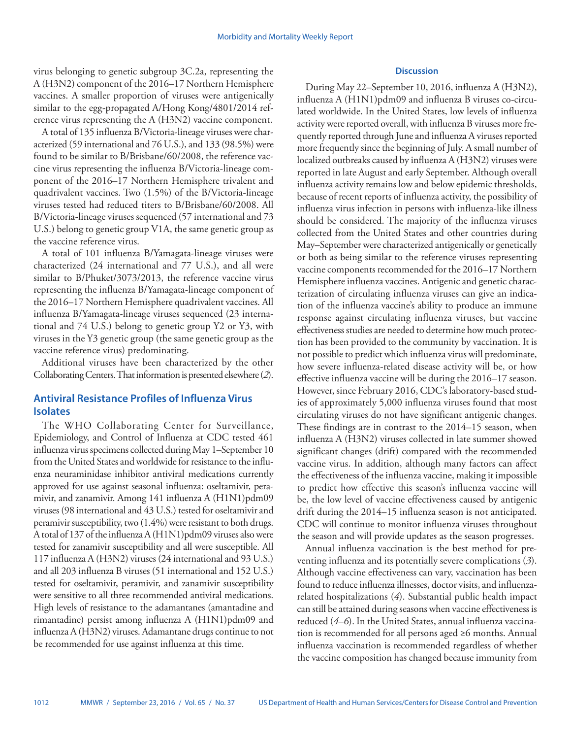virus belonging to genetic subgroup 3C.2a, representing the A (H3N2) component of the 2016–17 Northern Hemisphere vaccines. A smaller proportion of viruses were antigenically similar to the egg-propagated A/Hong Kong/4801/2014 reference virus representing the A (H3N2) vaccine component.

A total of 135 influenza B/Victoria-lineage viruses were characterized (59 international and 76 U.S.), and 133 (98.5%) were found to be similar to B/Brisbane/60/2008, the reference vaccine virus representing the influenza B/Victoria-lineage component of the 2016–17 Northern Hemisphere trivalent and quadrivalent vaccines. Two (1.5%) of the B/Victoria-lineage viruses tested had reduced titers to B/Brisbane/60/2008. All B/Victoria-lineage viruses sequenced (57 international and 73 U.S.) belong to genetic group V1A, the same genetic group as the vaccine reference virus.

A total of 101 influenza B/Yamagata-lineage viruses were characterized (24 international and 77 U.S.), and all were similar to B/Phuket/3073/2013, the reference vaccine virus representing the influenza B/Yamagata-lineage component of the 2016–17 Northern Hemisphere quadrivalent vaccines. All influenza B/Yamagata-lineage viruses sequenced (23 international and 74 U.S.) belong to genetic group Y2 or Y3, with viruses in the Y3 genetic group (the same genetic group as the vaccine reference virus) predominating.

Additional viruses have been characterized by the other Collaborating Centers. That information is presented elsewhere (*2*).

# **Antiviral Resistance Profiles of Influenza Virus Isolates**

The WHO Collaborating Center for Surveillance, Epidemiology, and Control of Influenza at CDC tested 461 influenza virus specimens collected during May 1–September 10 from the United States and worldwide for resistance to the influenza neuraminidase inhibitor antiviral medications currently approved for use against seasonal influenza: oseltamivir, peramivir, and zanamivir. Among 141 influenza A (H1N1)pdm09 viruses (98 international and 43 U.S.) tested for oseltamivir and peramivir susceptibility, two (1.4%) were resistant to both drugs. A total of 137 of the influenza A (H1N1)pdm09 viruses also were tested for zanamivir susceptibility and all were susceptible. All 117 influenza A (H3N2) viruses (24 international and 93 U.S.) and all 203 influenza B viruses (51 international and 152 U.S.) tested for oseltamivir, peramivir, and zanamivir susceptibility were sensitive to all three recommended antiviral medications. High levels of resistance to the adamantanes (amantadine and rimantadine) persist among influenza A (H1N1)pdm09 and influenza A (H3N2) viruses. Adamantane drugs continue to not be recommended for use against influenza at this time.

#### **Discussion**

During May 22–September 10, 2016, influenza A (H3N2), influenza A (H1N1)pdm09 and influenza B viruses co-circulated worldwide. In the United States, low levels of influenza activity were reported overall, with influenza B viruses more frequently reported through June and influenza A viruses reported more frequently since the beginning of July. A small number of localized outbreaks caused by influenza A (H3N2) viruses were reported in late August and early September. Although overall influenza activity remains low and below epidemic thresholds, because of recent reports of influenza activity, the possibility of influenza virus infection in persons with influenza-like illness should be considered. The majority of the influenza viruses collected from the United States and other countries during May–September were characterized antigenically or genetically or both as being similar to the reference viruses representing vaccine components recommended for the 2016–17 Northern Hemisphere influenza vaccines. Antigenic and genetic characterization of circulating influenza viruses can give an indication of the influenza vaccine's ability to produce an immune response against circulating influenza viruses, but vaccine effectiveness studies are needed to determine how much protection has been provided to the community by vaccination. It is not possible to predict which influenza virus will predominate, how severe influenza-related disease activity will be, or how effective influenza vaccine will be during the 2016–17 season. However, since February 2016, CDC's laboratory-based studies of approximately 5,000 influenza viruses found that most circulating viruses do not have significant antigenic changes. These findings are in contrast to the 2014–15 season, when influenza A (H3N2) viruses collected in late summer showed significant changes (drift) compared with the recommended vaccine virus. In addition, although many factors can affect the effectiveness of the influenza vaccine, making it impossible to predict how effective this season's influenza vaccine will be, the low level of vaccine effectiveness caused by antigenic drift during the 2014–15 influenza season is not anticipated. CDC will continue to monitor influenza viruses throughout the season and will provide updates as the season progresses.

Annual influenza vaccination is the best method for preventing influenza and its potentially severe complications (*3*). Although vaccine effectiveness can vary, vaccination has been found to reduce influenza illnesses, doctor visits, and influenzarelated hospitalizations (*4*). Substantial public health impact can still be attained during seasons when vaccine effectiveness is reduced (*4*–*6*). In the United States, annual influenza vaccination is recommended for all persons aged ≥6 months. Annual influenza vaccination is recommended regardless of whether the vaccine composition has changed because immunity from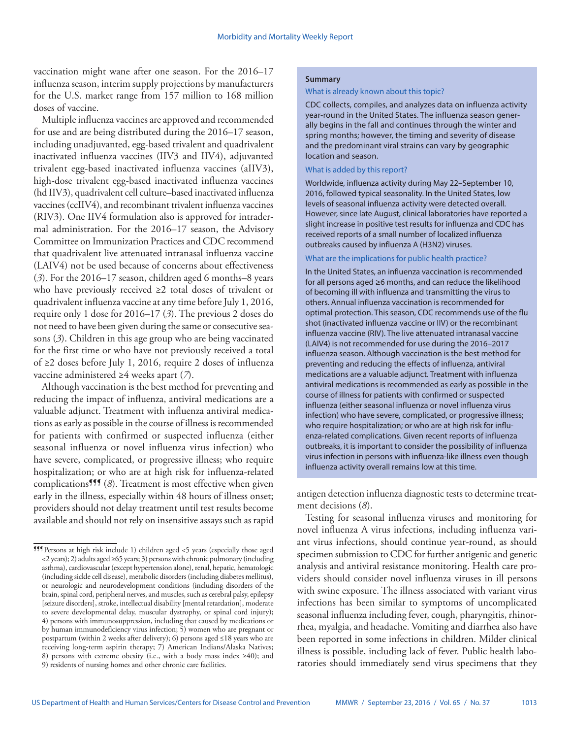vaccination might wane after one season. For the 2016–17 influenza season, interim supply projections by manufacturers for the U.S. market range from 157 million to 168 million doses of vaccine.

Multiple influenza vaccines are approved and recommended for use and are being distributed during the 2016–17 season, including unadjuvanted, egg-based trivalent and quadrivalent inactivated influenza vaccines (IIV3 and IIV4), adjuvanted trivalent egg-based inactivated influenza vaccines (aIIV3), high-dose trivalent egg-based inactivated influenza vaccines (hd IIV3), quadrivalent cell culture–based inactivated influenza vaccines (ccIIV4), and recombinant trivalent influenza vaccines (RIV3). One IIV4 formulation also is approved for intradermal administration. For the 2016–17 season, the Advisory Committee on Immunization Practices and CDC recommend that quadrivalent live attenuated intranasal influenza vaccine (LAIV4) not be used because of concerns about effectiveness (*3*). For the 2016–17 season, children aged 6 months–8 years who have previously received ≥2 total doses of trivalent or quadrivalent influenza vaccine at any time before July 1, 2016, require only 1 dose for 2016–17 (*3*). The previous 2 doses do not need to have been given during the same or consecutive seasons (*3*). Children in this age group who are being vaccinated for the first time or who have not previously received a total of ≥2 doses before July 1, 2016, require 2 doses of influenza vaccine administered ≥4 weeks apart (*7*).

Although vaccination is the best method for preventing and reducing the impact of influenza, antiviral medications are a valuable adjunct. Treatment with influenza antiviral medications as early as possible in the course of illness is recommended for patients with confirmed or suspected influenza (either seasonal influenza or novel influenza virus infection) who have severe, complicated, or progressive illness; who require hospitalization; or who are at high risk for influenza-related complications<sup>999</sup> (*8*). Treatment is most effective when given early in the illness, especially within 48 hours of illness onset; providers should not delay treatment until test results become available and should not rely on insensitive assays such as rapid

### **Summary**

#### What is already known about this topic?

CDC collects, compiles, and analyzes data on influenza activity year-round in the United States. The influenza season generally begins in the fall and continues through the winter and spring months; however, the timing and severity of disease and the predominant viral strains can vary by geographic location and season.

#### What is added by this report?

Worldwide, influenza activity during May 22–September 10, 2016, followed typical seasonality. In the United States, low levels of seasonal influenza activity were detected overall. However, since late August, clinical laboratories have reported a slight increase in positive test results for influenza and CDC has received reports of a small number of localized influenza outbreaks caused by influenza A (H3N2) viruses.

#### What are the implications for public health practice?

In the United States, an influenza vaccination is recommended for all persons aged ≥6 months, and can reduce the likelihood of becoming ill with influenza and transmitting the virus to others. Annual influenza vaccination is recommended for optimal protection. This season, CDC recommends use of the flu shot (inactivated influenza vaccine or IIV) or the recombinant influenza vaccine (RIV). The live attenuated intranasal vaccine (LAIV4) is not recommended for use during the 2016–2017 influenza season. Although vaccination is the best method for preventing and reducing the effects of influenza, antiviral medications are a valuable adjunct. Treatment with influenza antiviral medications is recommended as early as possible in the course of illness for patients with confirmed or suspected influenza (either seasonal influenza or novel influenza virus infection) who have severe, complicated, or progressive illness; who require hospitalization; or who are at high risk for influenza-related complications. Given recent reports of influenza outbreaks, it is important to consider the possibility of influenza virus infection in persons with influenza-like illness even though influenza activity overall remains low at this time.

antigen detection influenza diagnostic tests to determine treatment decisions (*8*).

Testing for seasonal influenza viruses and monitoring for novel influenza A virus infections, including influenza variant virus infections, should continue year-round, as should specimen submission to CDC for further antigenic and genetic analysis and antiviral resistance monitoring. Health care providers should consider novel influenza viruses in ill persons with swine exposure. The illness associated with variant virus infections has been similar to symptoms of uncomplicated seasonal influenza including fever, cough, pharyngitis, rhinorrhea, myalgia, and headache. Vomiting and diarrhea also have been reported in some infections in children. Milder clinical illness is possible, including lack of fever. Public health laboratories should immediately send virus specimens that they

<sup>¶¶¶</sup>Persons at high risk include 1) children aged <5 years (especially those aged <2 years); 2) adults aged ≥65 years; 3) persons with chronic pulmonary (including asthma), cardiovascular (except hypertension alone), renal, hepatic, hematologic (including sickle cell disease), metabolic disorders (including diabetes mellitus), or neurologic and neurodevelopment conditions (including disorders of the brain, spinal cord, peripheral nerves, and muscles, such as cerebral palsy, epilepsy [seizure disorders], stroke, intellectual disability [mental retardation], moderate to severe developmental delay, muscular dystrophy, or spinal cord injury); 4) persons with immunosuppression, including that caused by medications or by human immunodeficiency virus infection; 5) women who are pregnant or postpartum (within 2 weeks after delivery); 6) persons aged ≤18 years who are receiving long-term aspirin therapy; 7) American Indians/Alaska Natives; 8) persons with extreme obesity (i.e., with a body mass index ≥40); and 9) residents of nursing homes and other chronic care facilities.